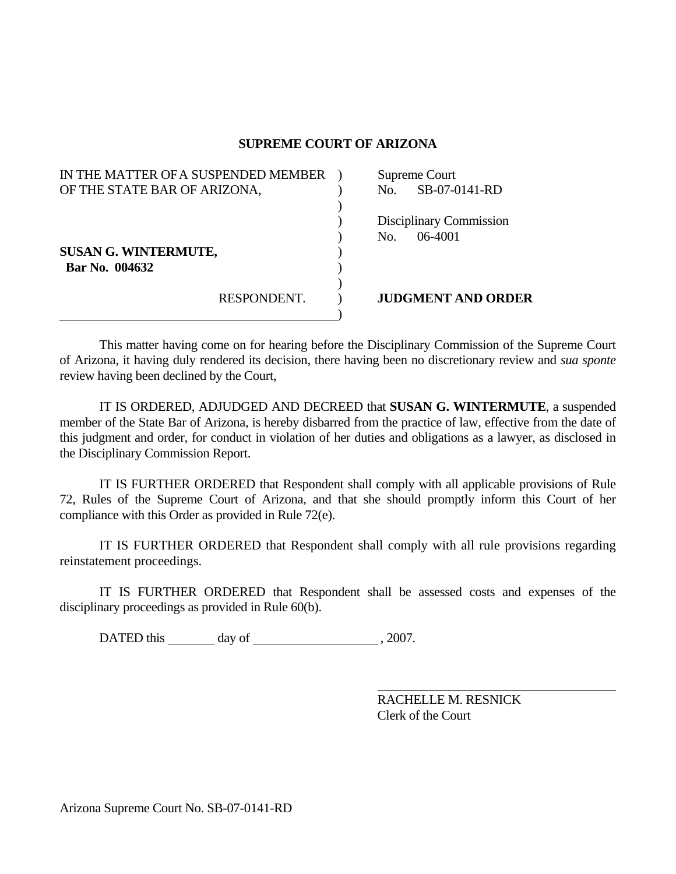## **SUPREME COURT OF ARIZONA**

| IN THE MATTER OF A SUSPENDED MEMBER           |             | Supreme Court |                                      |
|-----------------------------------------------|-------------|---------------|--------------------------------------|
| OF THE STATE BAR OF ARIZONA,                  |             | No.           | SB-07-0141-RD                        |
|                                               |             | No.           | Disciplinary Commission<br>$06-4001$ |
| <b>SUSAN G. WINTERMUTE,</b><br>Bar No. 004632 |             |               |                                      |
|                                               | RESPONDENT. |               | <b>JUDGMENT AND ORDER</b>            |

 This matter having come on for hearing before the Disciplinary Commission of the Supreme Court of Arizona, it having duly rendered its decision, there having been no discretionary review and *sua sponte* review having been declined by the Court,

 IT IS ORDERED, ADJUDGED AND DECREED that **SUSAN G. WINTERMUTE**, a suspended member of the State Bar of Arizona, is hereby disbarred from the practice of law, effective from the date of this judgment and order, for conduct in violation of her duties and obligations as a lawyer, as disclosed in the Disciplinary Commission Report.

 IT IS FURTHER ORDERED that Respondent shall comply with all applicable provisions of Rule 72, Rules of the Supreme Court of Arizona, and that she should promptly inform this Court of her compliance with this Order as provided in Rule 72(e).

 IT IS FURTHER ORDERED that Respondent shall comply with all rule provisions regarding reinstatement proceedings.

 IT IS FURTHER ORDERED that Respondent shall be assessed costs and expenses of the disciplinary proceedings as provided in Rule 60(b).

DATED this day of , 2007.

 RACHELLE M. RESNICK Clerk of the Court